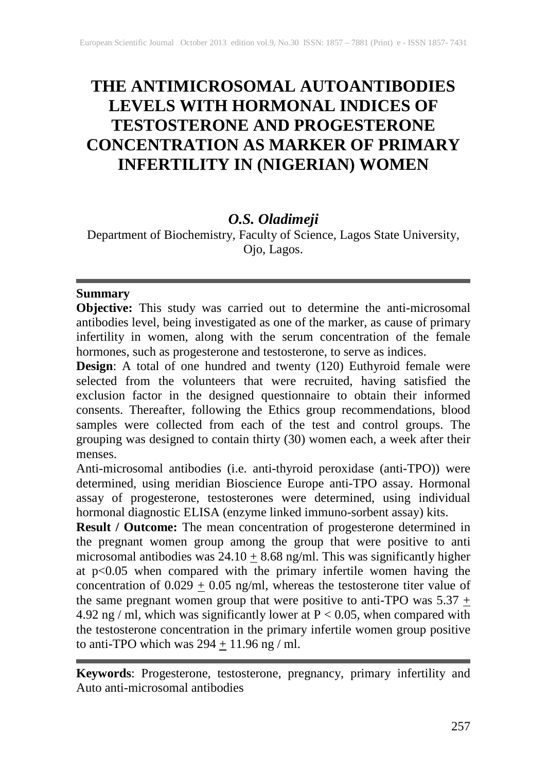# **THE ANTIMICROSOMAL AUTOANTIBODIES LEVELS WITH HORMONAL INDICES OF TESTOSTERONE AND PROGESTERONE CONCENTRATION AS MARKER OF PRIMARY INFERTILITY IN (NIGERIAN) WOMEN**

# *O.S. Oladimeji*

Department of Biochemistry, Faculty of Science, Lagos State University, Ojo, Lagos.

# **Summary**

**Objective:** This study was carried out to determine the anti-microsomal antibodies level, being investigated as one of the marker, as cause of primary infertility in women, along with the serum concentration of the female hormones, such as progesterone and testosterone, to serve as indices.

**Design**: A total of one hundred and twenty (120) Euthyroid female were selected from the volunteers that were recruited, having satisfied the exclusion factor in the designed questionnaire to obtain their informed consents. Thereafter, following the Ethics group recommendations, blood samples were collected from each of the test and control groups. The grouping was designed to contain thirty (30) women each, a week after their menses.

Anti-microsomal antibodies (i.e. anti-thyroid peroxidase (anti-TPO)) were determined, using meridian Bioscience Europe anti-TPO assay. Hormonal assay of progesterone, testosterones were determined, using individual hormonal diagnostic ELISA (enzyme linked immuno-sorbent assay) kits.

**Result / Outcome:** The mean concentration of progesterone determined in the pregnant women group among the group that were positive to anti microsomal antibodies was  $24.10 \pm 8.68$  ng/ml. This was significantly higher at p<0.05 when compared with the primary infertile women having the concentration of  $0.029 \pm 0.05$  ng/ml, whereas the testosterone titer value of the same pregnant women group that were positive to anti-TPO was  $5.37 \pm$ 4.92 ng / ml, which was significantly lower at  $P < 0.05$ , when compared with the testosterone concentration in the primary infertile women group positive to anti-TPO which was  $294 \pm 11.96$  ng / ml.

**Keywords**: Progesterone, testosterone, pregnancy, primary infertility and Auto anti-microsomal antibodies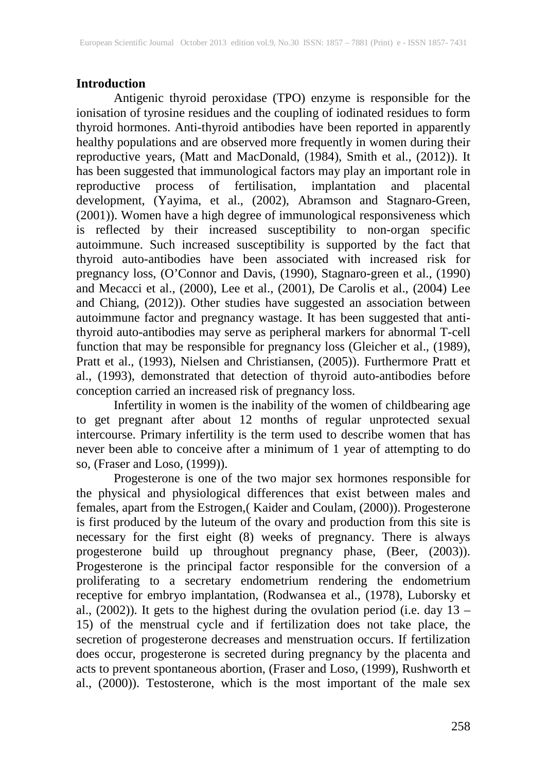### **Introduction**

Antigenic thyroid peroxidase (TPO) enzyme is responsible for the ionisation of tyrosine residues and the coupling of iodinated residues to form thyroid hormones. Anti-thyroid antibodies have been reported in apparently healthy populations and are observed more frequently in women during their reproductive years, (Matt and MacDonald, (1984), Smith et al., (2012)). It has been suggested that immunological factors may play an important role in reproductive process of fertilisation, implantation and placental development, (Yayima, et al., (2002), Abramson and Stagnaro-Green, (2001)). Women have a high degree of immunological responsiveness which is reflected by their increased susceptibility to non-organ specific autoimmune. Such increased susceptibility is supported by the fact that thyroid auto-antibodies have been associated with increased risk for pregnancy loss, (O'Connor and Davis, (1990), Stagnaro-green et al., (1990) and Mecacci et al., (2000), Lee et al., (2001), De Carolis et al., (2004) Lee and Chiang, (2012)). Other studies have suggested an association between autoimmune factor and pregnancy wastage. It has been suggested that antithyroid auto-antibodies may serve as peripheral markers for abnormal T-cell function that may be responsible for pregnancy loss (Gleicher et al., (1989), Pratt et al., (1993), Nielsen and Christiansen, (2005)). Furthermore Pratt et al., (1993), demonstrated that detection of thyroid auto-antibodies before conception carried an increased risk of pregnancy loss.

Infertility in women is the inability of the women of childbearing age to get pregnant after about 12 months of regular unprotected sexual intercourse. Primary infertility is the term used to describe women that has never been able to conceive after a minimum of 1 year of attempting to do so, (Fraser and Loso, (1999)). so, (Fraser and Loso, (1999)).

Progesterone is one of the two major sex hormones responsible for the physical and physiological differences that exist between males and females, apart from the Estrogen,( Kaider and Coulam, (2000)). Progesterone is first produced by the luteum of the ovary and production from this site is necessary for the first eight (8) weeks of pregnancy. There is always progesterone build up throughout pregnancy phase, (Beer, (2003)). Progesterone is the principal factor responsible for the conversion of a proliferating to a secretary endometrium rendering the endometrium receptive for embryo implantation, (Rodwansea et al., (1978), Luborsky et al., (2002)). It gets to the highest during the ovulation period (i.e. day 13 – 15) of the menstrual cycle and if fertilization does not take place, the secretion of progesterone decreases and menstruation occurs. If fertilization does occur, progesterone is secreted during pregnancy by the placenta and acts to prevent spontaneous abortion, (Fraser and Loso, (1999), Rushworth et al., (2000)). Testosterone, which is the most important of the male sex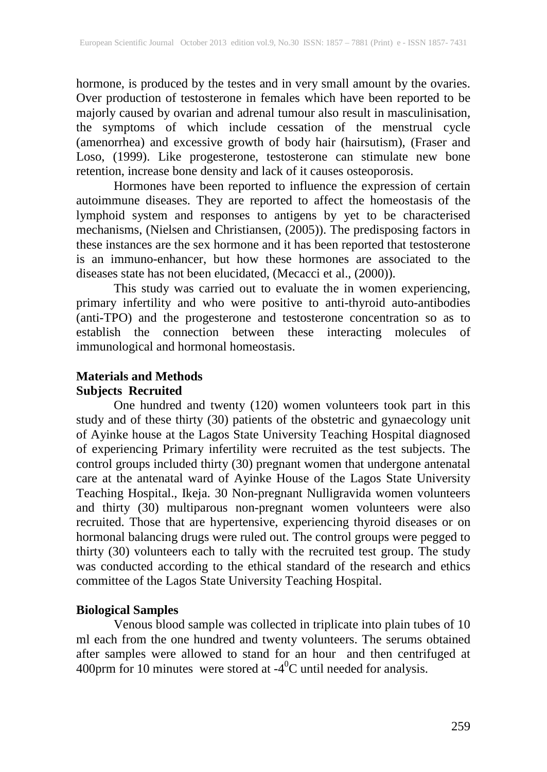hormone, is produced by the testes and in very small amount by the ovaries. Over production of testosterone in females which have been reported to be majorly caused by ovarian and adrenal tumour also result in masculinisation, the symptoms of which include cessation of the menstrual cycle (amenorrhea) and excessive growth of body hair (hairsutism), (Fraser and Loso, (1999). Like progesterone, testosterone can stimulate new bone retention, increase bone density and lack of it causes osteoporosis.

Hormones have been reported to influence the expression of certain autoimmune diseases. They are reported to affect the homeostasis of the lymphoid system and responses to antigens by yet to be characterised mechanisms, (Nielsen and Christiansen, (2005)). The predisposing factors in these instances are the sex hormone and it has been reported that testosterone is an immuno-enhancer, but how these hormones are associated to the diseases state has not been elucidated, (Mecacci et al., (2000)).

This study was carried out to evaluate the in women experiencing, primary infertility and who were positive to anti-thyroid auto-antibodies (anti-TPO) and the progesterone and testosterone concentration so as to establish the connection between these interacting molecules of immunological and hormonal homeostasis.

# **Materials and Methods Subjects Recruited**

One hundred and twenty (120) women volunteers took part in this study and of these thirty (30) patients of the obstetric and gynaecology unit of Ayinke house at the Lagos State University Teaching Hospital diagnosed of experiencing Primary infertility were recruited as the test subjects. The control groups included thirty (30) pregnant women that undergone antenatal care at the antenatal ward of Ayinke House of the Lagos State University Teaching Hospital., Ikeja. 30 Non-pregnant Nulligravida women volunteers and thirty (30) multiparous non-pregnant women volunteers were also recruited. Those that are hypertensive, experiencing thyroid diseases or on hormonal balancing drugs were ruled out. The control groups were pegged to thirty (30) volunteers each to tally with the recruited test group. The study was conducted according to the ethical standard of the research and ethics committee of the Lagos State University Teaching Hospital.

# **Biological Samples**

Venous blood sample was collected in triplicate into plain tubes of 10 ml each from the one hundred and twenty volunteers. The serums obtained after samples were allowed to stand for an hour and then centrifuged at 400 prm for 10 minutes were stored at  $-4$ <sup>0</sup>C until needed for analysis.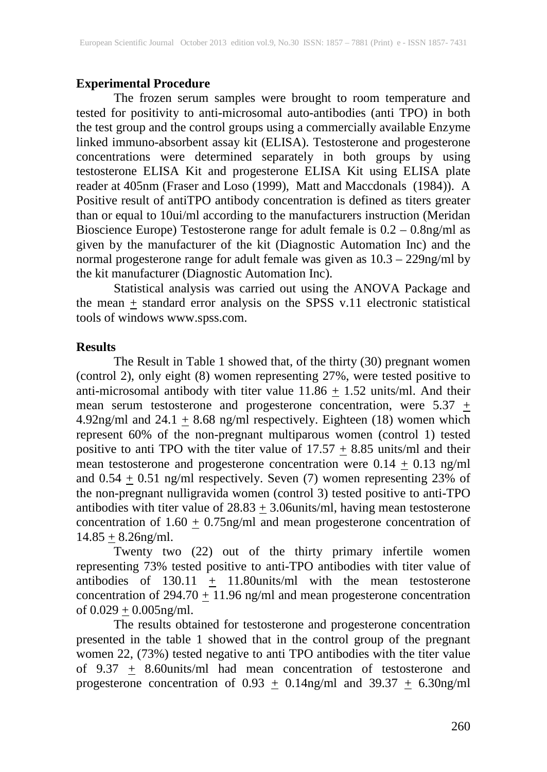#### **Experimental Procedure**

The frozen serum samples were brought to room temperature and tested for positivity to anti-microsomal auto-antibodies (anti TPO) in both the test group and the control groups using a commercially available Enzyme linked immuno-absorbent assay kit (ELISA). Testosterone and progesterone concentrations were determined separately in both groups by using testosterone ELISA Kit and progesterone ELISA Kit using ELISA plate reader at 405nm (Fraser and Loso (1999), Matt and Maccdonals (1984)). A Positive result of antiTPO antibody concentration is defined as titers greater than or equal to 10ui/ml according to the manufacturers instruction (Meridan Bioscience Europe) Testosterone range for adult female is 0.2 – 0.8ng/ml as given by the manufacturer of the kit (Diagnostic Automation Inc) and the normal progesterone range for adult female was given as 10.3 – 229ng/ml by the kit manufacturer (Diagnostic Automation Inc).

Statistical analysis was carried out using the ANOVA Package and the mean  $\pm$  standard error analysis on the SPSS v.11 electronic statistical tools of windows www.spss.com.

#### **Results**

The Result in Table 1 showed that, of the thirty (30) pregnant women (control 2), only eight (8) women representing 27%, were tested positive to anti-microsomal antibody with titer value  $11.86 \pm 1.52$  units/ml. And their mean serum testosterone and progesterone concentration, were  $5.37 \pm$ 4.92ng/ml and  $24.1 \pm 8.68$  ng/ml respectively. Eighteen (18) women which represent 60% of the non-pregnant multiparous women (control 1) tested positive to anti TPO with the titer value of  $17.57 \pm 8.85$  units/ml and their mean testosterone and progesterone concentration were  $0.14 \pm 0.13$  ng/ml and  $0.54 \pm 0.51$  ng/ml respectively. Seven (7) women representing 23% of the non-pregnant nulligravida women (control 3) tested positive to anti-TPO antibodies with titer value of  $28.83 \pm 3.06$ units/ml, having mean testosterone concentration of  $1.60 \pm 0.75$ ng/ml and mean progesterone concentration of  $14.85 + 8.26$ ng/ml.

Twenty two (22) out of the thirty primary infertile women representing 73% tested positive to anti-TPO antibodies with titer value of antibodies of  $130.11 + 11.80$ units/ml with the mean testosterone concentration of  $294.70 \pm 11.96$  ng/ml and mean progesterone concentration of  $0.029 \pm 0.005$ ng/ml.

The results obtained for testosterone and progesterone concentration presented in the table 1 showed that in the control group of the pregnant women 22, (73%) tested negative to anti TPO antibodies with the titer value of 9.37  $\pm$  8.60 units/ml had mean concentration of testosterone and progesterone concentration of  $0.93 \pm 0.14$ ng/ml and  $39.37 \pm 6.30$ ng/ml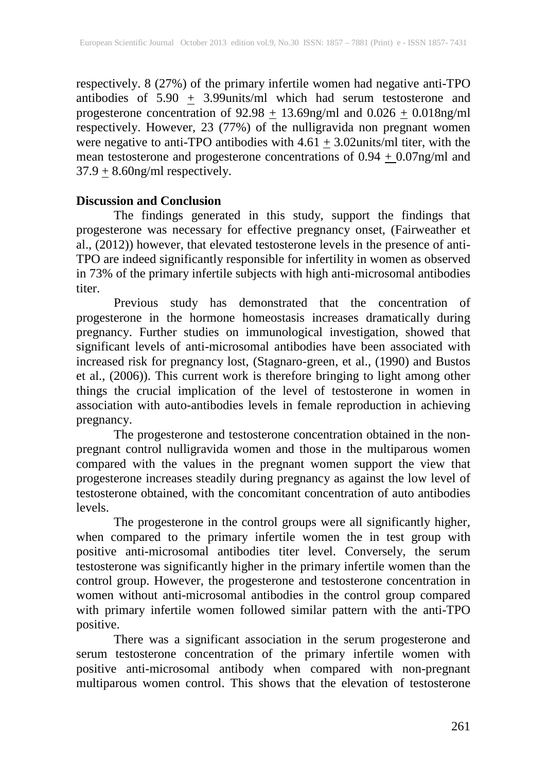respectively. 8 (27%) of the primary infertile women had negative anti-TPO antibodies of 5.90  $\pm$  3.99 units/ml which had serum testosterone and progesterone concentration of  $92.98 + 13.69$ ng/ml and  $0.026 + 0.018$ ng/ml respectively. However, 23 (77%) of the nulligravida non pregnant women were negative to anti-TPO antibodies with  $4.61 \pm 3.02$ units/ml titer, with the mean testosterone and progesterone concentrations of  $0.94 + 0.07$ ng/ml and  $37.9 + 8.60$ ng/ml respectively.

# **Discussion and Conclusion**

The findings generated in this study, support the findings that progesterone was necessary for effective pregnancy onset, (Fairweather et al., (2012)) however, that elevated testosterone levels in the presence of anti-TPO are indeed significantly responsible for infertility in women as observed in 73% of the primary infertile subjects with high anti-microsomal antibodies titer.

Previous study has demonstrated that the concentration of progesterone in the hormone homeostasis increases dramatically during pregnancy. Further studies on immunological investigation, showed that significant levels of anti-microsomal antibodies have been associated with increased risk for pregnancy lost, (Stagnaro-green, et al., (1990) and Bustos et al., (2006)). This current work is therefore bringing to light among other things the crucial implication of the level of testosterone in women in association with auto-antibodies levels in female reproduction in achieving pregnancy.

The progesterone and testosterone concentration obtained in the nonpregnant control nulligravida women and those in the multiparous women compared with the values in the pregnant women support the view that progesterone increases steadily during pregnancy as against the low level of testosterone obtained, with the concomitant concentration of auto antibodies levels.

The progesterone in the control groups were all significantly higher, when compared to the primary infertile women the in test group with positive anti-microsomal antibodies titer level. Conversely, the serum testosterone was significantly higher in the primary infertile women than the control group. However, the progesterone and testosterone concentration in women without anti-microsomal antibodies in the control group compared with primary infertile women followed similar pattern with the anti-TPO positive.

There was a significant association in the serum progesterone and serum testosterone concentration of the primary infertile women with positive anti-microsomal antibody when compared with non-pregnant multiparous women control. This shows that the elevation of testosterone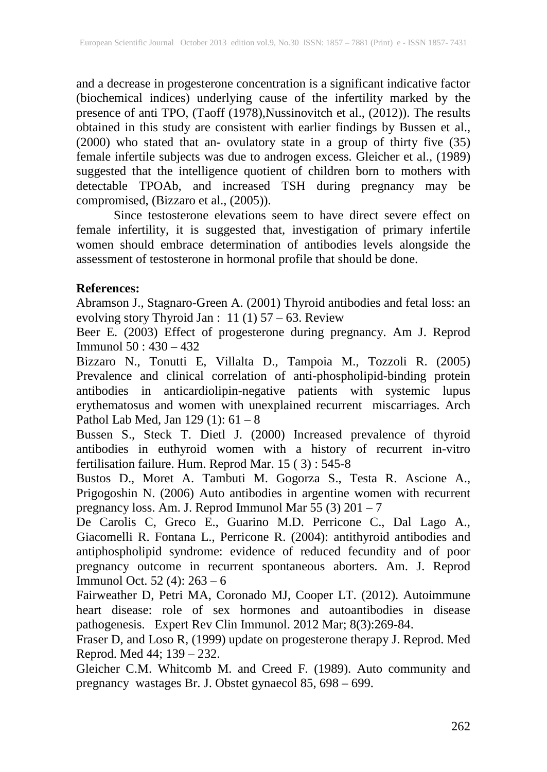and a decrease in progesterone concentration is a significant indicative factor (biochemical indices) underlying cause of the infertility marked by the presence of anti TPO, (Taoff (1978),Nussinovitch et al., (2012)). The results obtained in this study are consistent with earlier findings by Bussen et al., (2000) who stated that an- ovulatory state in a group of thirty five (35) female infertile subjects was due to androgen excess. Gleicher et al., (1989) suggested that the intelligence quotient of children born to mothers with detectable TPOAb, and increased TSH during pregnancy may be compromised, (Bizzaro et al., (2005)).

Since testosterone elevations seem to have direct severe effect on female infertility, it is suggested that, investigation of primary infertile women should embrace determination of antibodies levels alongside the assessment of testosterone in hormonal profile that should be done.

# **References:**

Abramson J., Stagnaro-Green A. (2001) Thyroid antibodies and fetal loss: an evolving story Thyroid Jan : 11 (1) 57 – 63. Review

Beer E. (2003) Effect of progesterone during pregnancy. Am J. Reprod Immunol 50 : 430 – 432

Bizzaro N., Tonutti E, Villalta D., Tampoia M., Tozzoli R. (2005) Prevalence and clinical correlation of anti-phospholipid-binding protein antibodies in anticardiolipin-negative patients with systemic lupus erythematosus and women with unexplained recurrent miscarriages. Arch Pathol Lab Med, Jan 129 (1): 61 – 8

Bussen S., Steck T. Dietl J. (2000) Increased prevalence of thyroid antibodies in euthyroid women with a history of recurrent in-vitro fertilisation failure. Hum. Reprod Mar. 15 ( 3) : 545-8

Bustos D., Moret A. Tambuti M. Gogorza S., Testa R. Ascione A., Prigogoshin N. (2006) Auto antibodies in argentine women with recurrent pregnancy loss. Am. J. Reprod Immunol Mar 55 (3) 201 – 7

De Carolis C, Greco E., Guarino M.D. Perricone C., Dal Lago A., Giacomelli R. Fontana L., Perricone R. (2004): antithyroid antibodies and antiphospholipid syndrome: evidence of reduced fecundity and of poor pregnancy outcome in recurrent spontaneous aborters. Am. J. Reprod Immunol Oct. 52 (4): 263 – 6

Fairweather D, Petri MA, Coronado MJ, Cooper LT. (2012). Autoimmune heart disease: role of sex hormones and autoantibodies in disease pathogenesis. Expert Rev Clin Immunol. 2012 Mar; 8(3):269-84.

Fraser D, and Loso R, (1999) update on progesterone therapy J. Reprod. Med Reprod. Med 44; 139 – 232.

Gleicher C.M. Whitcomb M. and Creed F. (1989). Auto community and pregnancy wastages Br. J. Obstet gynaecol 85, 698 – 699.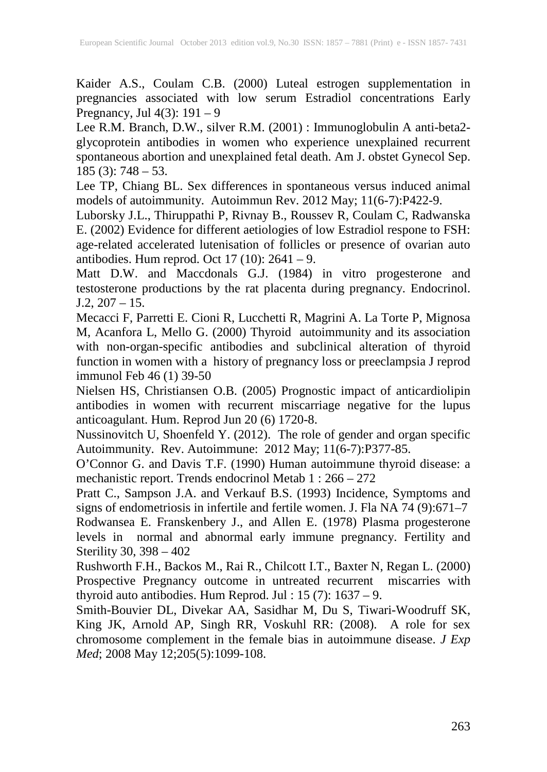Kaider A.S., Coulam C.B. (2000) Luteal estrogen supplementation in pregnancies associated with low serum Estradiol concentrations Early Pregnancy, Jul  $4(3)$ : 191 – 9

Lee R.M. Branch, D.W., silver R.M. (2001) : Immunoglobulin A anti-beta2 glycoprotein antibodies in women who experience unexplained recurrent spontaneous abortion and unexplained fetal death. Am J. obstet Gynecol Sep. 185 (3): 748 – 53.

Lee TP, Chiang BL. Sex differences in spontaneous versus induced animal models of autoimmunity. Autoimmun Rev. 2012 May; 11(6-7):P422-9.

Luborsky J.L., Thiruppathi P, Rivnay B., Roussev R, Coulam C, Radwanska E. (2002) Evidence for different aetiologies of low Estradiol respone to FSH: age-related accelerated lutenisation of follicles or presence of ovarian auto antibodies. Hum reprod. Oct 17 (10):  $2641 - 9$ .

Matt D.W. and Maccdonals G.J. (1984) in vitro progesterone and testosterone productions by the rat placenta during pregnancy. Endocrinol.  $J.2, 207 - 15.$ 

Mecacci F, Parretti E. Cioni R, Lucchetti R, Magrini A. La Torte P, Mignosa M, Acanfora L, Mello G. (2000) Thyroid autoimmunity and its association with non-organ-specific antibodies and subclinical alteration of thyroid function in women with a history of pregnancy loss or preeclampsia J reprod immunol Feb 46 (1) 39-50

Nielsen HS, Christiansen O.B. (2005) Prognostic impact of anticardiolipin antibodies in women with recurrent miscarriage negative for the lupus anticoagulant. Hum. Reprod Jun 20 (6) 1720-8.

Nussinovitch U, Shoenfeld Y. (2012). The role of gender and organ specific Autoimmunity. Rev. Autoimmune: 2012 May; 11(6-7):P377-85.

O'Connor G. and Davis T.F. (1990) Human autoimmune thyroid disease: a mechanistic report. Trends endocrinol Metab 1 : 266 – 272

Pratt C., Sampson J.A. and Verkauf B.S. (1993) Incidence, Symptoms and signs of endometriosis in infertile and fertile women. J. Fla NA 74 (9):671–7

Rodwansea E. Franskenbery J., and Allen E. (1978) Plasma progesterone levels in normal and abnormal early immune pregnancy. Fertility and Sterility 30, 398 – 402

Rushworth F.H., Backos M., Rai R., Chilcott I.T., Baxter N, Regan L. (2000) Prospective Pregnancy outcome in untreated recurrent miscarries with thyroid auto antibodies. Hum Reprod. Jul : 15 (7): 1637 – 9.

Smith-Bouvier DL, Divekar AA, Sasidhar M, Du S, Tiwari-Woodruff SK, King JK, Arnold AP, Singh RR, Voskuhl RR: (2008). A role for sex chromosome complement in the female bias in autoimmune disease. *J Exp Med*; 2008 May 12;205(5):1099-108.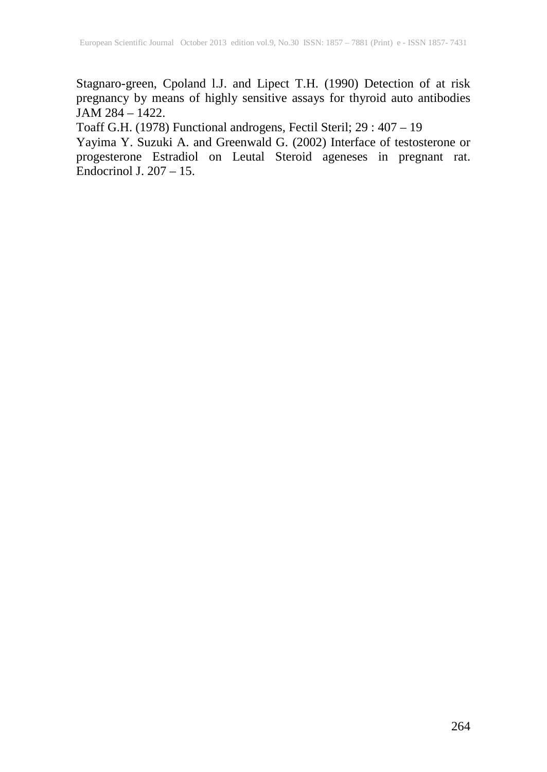Stagnaro-green, Cpoland l.J. and Lipect T.H. (1990) Detection of at risk pregnancy by means of highly sensitive assays for thyroid auto antibodies JAM 284 – 1422.

Toaff G.H. (1978) Functional androgens, Fectil Steril; 29 : 407 – 19

Yayima Y. Suzuki A. and Greenwald G. (2002) Interface of testosterone or progesterone Estradiol on Leutal Steroid ageneses in pregnant rat. Endocrinol J.  $207 - 15$ .